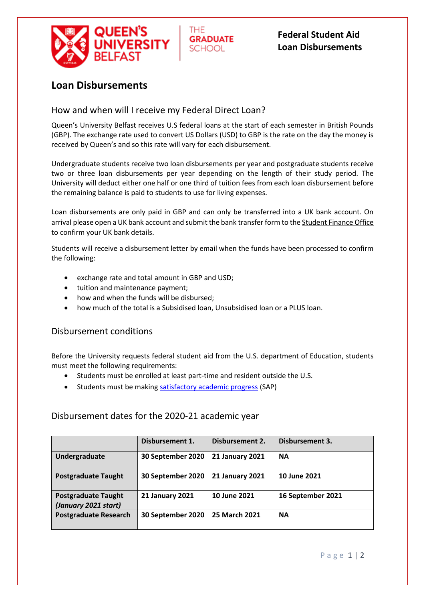

**Federal Student Aid Loan Disbursements**

## **Loan Disbursements**

### How and when will I receive my Federal Direct Loan?

Queen's University Belfast receives U.S federal loans at the start of each semester in British Pounds (GBP). The exchange rate used to convert US Dollars (USD) to GBP is the rate on the day the money is received by Queen's and so this rate will vary for each disbursement.

THF.

**GRADUATE** 

**SCHOOL** 

Undergraduate students receive two loan disbursements per year and postgraduate students receive two or three loan disbursements per year depending on the length of their study period. The University will deduct either one half or one third of tuition fees from each loan disbursement before the remaining balance is paid to students to use for living expenses.

Loan disbursements are only paid in GBP and can only be transferred into a UK bank account. On arrival please open a UK bank account and submit the bank transfer form to th[e Student Finance Office](http://www.qub.ac.uk/directorates/sgc/finance/) to confirm your UK bank details.

Students will receive a disbursement letter by email when the funds have been processed to confirm the following:

- exchange rate and total amount in GBP and USD;
- tuition and maintenance payment;
- how and when the funds will be disbursed;
- how much of the total is a Subsidised loan, Unsubsidised loan or a PLUS loan.

#### Disbursement conditions

Before the University requests federal student aid from the U.S. department of Education, students must meet the following requirements:

- Students must be enrolled at least part-time and resident outside the U.S.
- Students must be making [satisfactory academic progress](http://www.qub.ac.uk/graduate-school/funding-scholarships/USLoans/Eligibility/) (SAP)

#### Disbursement dates for the 2020-21 academic year

|                                                    | Disbursement 1.        | Disbursement 2.        | Disbursement 3.   |
|----------------------------------------------------|------------------------|------------------------|-------------------|
| Undergraduate                                      | 30 September 2020      | <b>21 January 2021</b> | <b>NA</b>         |
| <b>Postgraduate Taught</b>                         | 30 September 2020      | <b>21 January 2021</b> | 10 June 2021      |
| <b>Postgraduate Taught</b><br>(January 2021 start) | <b>21 January 2021</b> | 10 June 2021           | 16 September 2021 |
| <b>Postgraduate Research</b>                       | 30 September 2020      | 25 March 2021          | <b>NA</b>         |